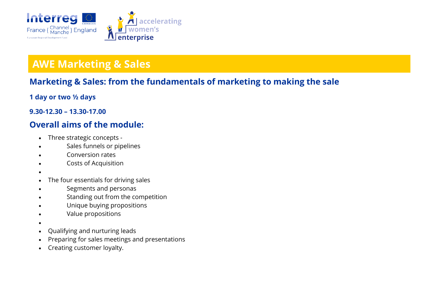

### **AWE Marketing & Sales**

### **Marketing & Sales: from the fundamentals of marketing to making the sale**

**1 day or two ½ days**

#### **9.30-12.30 – 13.30-17.00**

#### **Overall aims of the module:**

- Three strategic concepts -
- Sales funnels or pipelines
- Conversion rates
- Costs of Acquisition
- •
- The four essentials for driving sales
- Segments and personas
- Standing out from the competition
- Unique buying propositions
- Value propositions
- •
- Qualifying and nurturing leads
- Preparing for sales meetings and presentations
- Creating customer loyalty.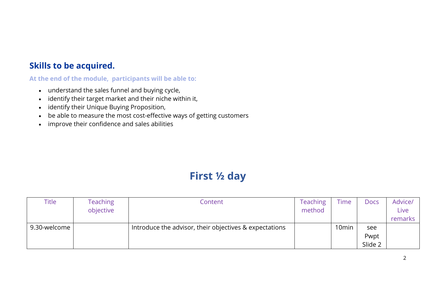### **Skills to be acquired.**

**At the end of the module, participants will be able to:**

- understand the sales funnel and buying cycle,
- identify their target market and their niche within it,
- identify their Unique Buying Proposition,
- be able to measure the most cost-effective ways of getting customers
- improve their confidence and sales abilities

# **First ½ day**

| <b>Title</b> | <b>Teaching</b><br>objective | Content                                                | <b>Teaching</b><br>method | <b>Time</b>       | <b>Docs</b> | Advice/<br>Live |
|--------------|------------------------------|--------------------------------------------------------|---------------------------|-------------------|-------------|-----------------|
|              |                              |                                                        |                           |                   |             | remarks         |
| 9.30-welcome |                              | Introduce the advisor, their objectives & expectations |                           | 10 <sub>min</sub> | see         |                 |
|              |                              |                                                        |                           |                   | Pwpt        |                 |
|              |                              |                                                        |                           |                   | Slide 2     |                 |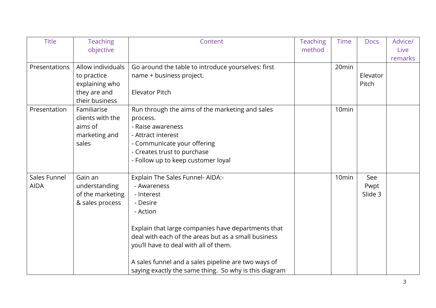| <b>Title</b>  | <b>Teaching</b>   | Content                                               | <b>Teaching</b> | <b>Time</b>       | <b>Docs</b> | Advice/ |
|---------------|-------------------|-------------------------------------------------------|-----------------|-------------------|-------------|---------|
|               | objective         |                                                       | method          |                   |             | Live    |
|               |                   |                                                       |                 |                   |             | remarks |
| Presentations | Allow individuals | Go around the table to introduce yourselves: first    |                 | 20 <sub>min</sub> |             |         |
|               | to practice       | name + business project.                              |                 |                   | Elevator    |         |
|               | explaining who    |                                                       |                 |                   | Pitch       |         |
|               | they are and      | <b>Elevator Pitch</b>                                 |                 |                   |             |         |
|               | their business    |                                                       |                 |                   |             |         |
| Presentation  | Familiarise       | Run through the aims of the marketing and sales       |                 | 10 <sub>min</sub> |             |         |
|               | clients with the  | process.                                              |                 |                   |             |         |
|               | aims of           | - Raise awareness                                     |                 |                   |             |         |
|               | marketing and     | - Attract interest                                    |                 |                   |             |         |
|               | sales             | - Communicate your offering                           |                 |                   |             |         |
|               |                   | - Creates trust to purchase                           |                 |                   |             |         |
|               |                   | - Follow up to keep customer loyal                    |                 |                   |             |         |
|               |                   |                                                       |                 |                   |             |         |
| Sales Funnel  | Gain an           | Explain The Sales Funnel- AIDA:-                      |                 | 10 <sub>min</sub> | See         |         |
| <b>AIDA</b>   | understanding     | - Awareness                                           |                 |                   | Pwpt        |         |
|               | of the marketing  | - Interest                                            |                 |                   | Slide 3     |         |
|               | & sales process   | - Desire                                              |                 |                   |             |         |
|               |                   | - Action                                              |                 |                   |             |         |
|               |                   |                                                       |                 |                   |             |         |
|               |                   | Explain that large companies have departments that    |                 |                   |             |         |
|               |                   | deal with each of the areas but as a small business   |                 |                   |             |         |
|               |                   | you'll have to deal with all of them.                 |                 |                   |             |         |
|               |                   |                                                       |                 |                   |             |         |
|               |                   | A sales funnel and a sales pipeline are two ways of   |                 |                   |             |         |
|               |                   | saying exactly the same thing. So why is this diagram |                 |                   |             |         |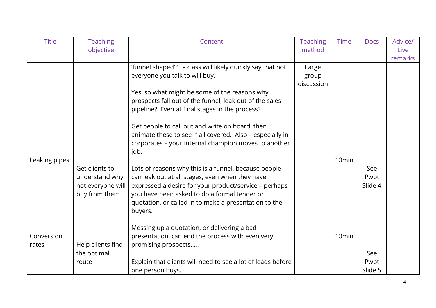| <b>Title</b>  | <b>Teaching</b>   | Content                                                      | <b>Teaching</b>     | <b>Time</b>       | <b>Docs</b> | Advice/ |
|---------------|-------------------|--------------------------------------------------------------|---------------------|-------------------|-------------|---------|
|               | objective         |                                                              | method              |                   |             | Live    |
|               |                   |                                                              |                     |                   |             | remarks |
|               |                   | 'funnel shaped'? - class will likely quickly say that not    | Large               |                   |             |         |
|               |                   | everyone you talk to will buy.                               | group<br>discussion |                   |             |         |
|               |                   | Yes, so what might be some of the reasons why                |                     |                   |             |         |
|               |                   | prospects fall out of the funnel, leak out of the sales      |                     |                   |             |         |
|               |                   | pipeline? Even at final stages in the process?               |                     |                   |             |         |
|               |                   |                                                              |                     |                   |             |         |
|               |                   | Get people to call out and write on board, then              |                     |                   |             |         |
|               |                   | animate these to see if all covered. Also - especially in    |                     |                   |             |         |
|               |                   | corporates - your internal champion moves to another<br>job. |                     |                   |             |         |
| Leaking pipes |                   |                                                              |                     | 10 <sub>min</sub> |             |         |
|               | Get clients to    | Lots of reasons why this is a funnel, because people         |                     |                   | See         |         |
|               | understand why    | can leak out at all stages, even when they have              |                     |                   | Pwpt        |         |
|               | not everyone will | expressed a desire for your product/service - perhaps        |                     |                   | Slide 4     |         |
|               | buy from them     | you have been asked to do a formal tender or                 |                     |                   |             |         |
|               |                   | quotation, or called in to make a presentation to the        |                     |                   |             |         |
|               |                   | buyers.                                                      |                     |                   |             |         |
|               |                   | Messing up a quotation, or delivering a bad                  |                     |                   |             |         |
| Conversion    |                   | presentation, can end the process with even very             |                     | 10 <sub>min</sub> |             |         |
| rates         | Help clients find | promising prospects                                          |                     |                   |             |         |
|               | the optimal       |                                                              |                     |                   | See         |         |
|               | route             | Explain that clients will need to see a lot of leads before  |                     |                   | Pwpt        |         |
|               |                   | one person buys.                                             |                     |                   | Slide 5     |         |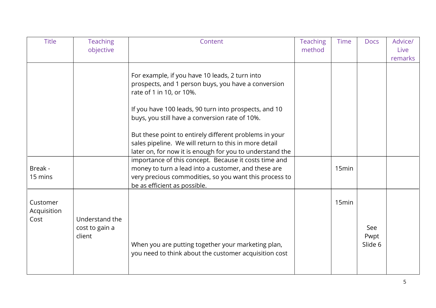| <b>Title</b>            | <b>Teaching</b><br>objective               | Content                                                                                                                                                                                                | <b>Teaching</b><br>method | <b>Time</b>       | <b>Docs</b>            | Advice/<br>Live |
|-------------------------|--------------------------------------------|--------------------------------------------------------------------------------------------------------------------------------------------------------------------------------------------------------|---------------------------|-------------------|------------------------|-----------------|
|                         |                                            |                                                                                                                                                                                                        |                           |                   |                        | remarks         |
|                         |                                            | For example, if you have 10 leads, 2 turn into<br>prospects, and 1 person buys, you have a conversion<br>rate of 1 in 10, or 10%.                                                                      |                           |                   |                        |                 |
|                         |                                            | If you have 100 leads, 90 turn into prospects, and 10<br>buys, you still have a conversion rate of 10%.                                                                                                |                           |                   |                        |                 |
|                         |                                            | But these point to entirely different problems in your<br>sales pipeline. We will return to this in more detail<br>later on, for now it is enough for you to understand the                            |                           |                   |                        |                 |
| Break -<br>15 mins      |                                            | importance of this concept. Because it costs time and<br>money to turn a lead into a customer, and these are<br>very precious commodities, so you want this process to<br>be as efficient as possible. |                           | 15min             |                        |                 |
| Customer<br>Acquisition |                                            |                                                                                                                                                                                                        |                           | 15 <sub>min</sub> |                        |                 |
| Cost                    | Understand the<br>cost to gain a<br>client | When you are putting together your marketing plan,<br>you need to think about the customer acquisition cost                                                                                            |                           |                   | See<br>Pwpt<br>Slide 6 |                 |
|                         |                                            |                                                                                                                                                                                                        |                           |                   |                        |                 |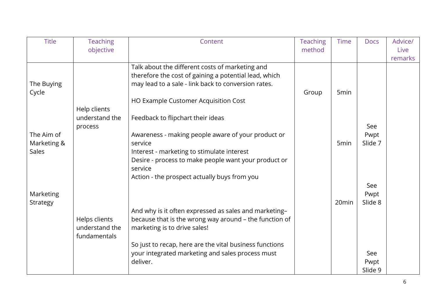| <b>Title</b>                       | <b>Teaching</b>                                 | Content                                                                                                                                                                                                                                                             | <b>Teaching</b> | <b>Time</b>       | <b>Docs</b>            | Advice/         |
|------------------------------------|-------------------------------------------------|---------------------------------------------------------------------------------------------------------------------------------------------------------------------------------------------------------------------------------------------------------------------|-----------------|-------------------|------------------------|-----------------|
|                                    | objective                                       |                                                                                                                                                                                                                                                                     | method          |                   |                        | Live<br>remarks |
| The Buying<br>Cycle                | Help clients                                    | Talk about the different costs of marketing and<br>therefore the cost of gaining a potential lead, which<br>may lead to a sale - link back to conversion rates.<br>HO Example Customer Acquisition Cost                                                             | Group           | 5min              |                        |                 |
| The Aim of<br>Marketing &<br>Sales | understand the<br>process                       | Feedback to flipchart their ideas<br>Awareness - making people aware of your product or<br>service<br>Interest - marketing to stimulate interest<br>Desire - process to make people want your product or<br>service<br>Action - the prospect actually buys from you |                 | 5 <sub>min</sub>  | See<br>Pwpt<br>Slide 7 |                 |
| Marketing<br>Strategy              | Helps clients<br>understand the<br>fundamentals | And why is it often expressed as sales and marketing-<br>because that is the wrong way around - the function of<br>marketing is to drive sales!                                                                                                                     |                 | 20 <sub>min</sub> | See<br>Pwpt<br>Slide 8 |                 |
|                                    |                                                 | So just to recap, here are the vital business functions<br>your integrated marketing and sales process must<br>deliver.                                                                                                                                             |                 |                   | See<br>Pwpt<br>Slide 9 |                 |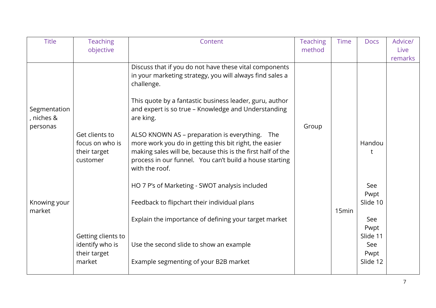| <b>Title</b>                                           | <b>Teaching</b><br>objective                                    | Content                                                                                                                                                                                                                                                                                                                                                                                                                                                                                                                                                                                                                   | <b>Teaching</b><br>method | <b>Time</b> | <b>Docs</b>                                        | Advice/<br>Live<br>remarks |
|--------------------------------------------------------|-----------------------------------------------------------------|---------------------------------------------------------------------------------------------------------------------------------------------------------------------------------------------------------------------------------------------------------------------------------------------------------------------------------------------------------------------------------------------------------------------------------------------------------------------------------------------------------------------------------------------------------------------------------------------------------------------------|---------------------------|-------------|----------------------------------------------------|----------------------------|
| Segmentation<br>, niches &<br>personas<br>Knowing your | Get clients to<br>focus on who is<br>their target<br>customer   | Discuss that if you do not have these vital components<br>in your marketing strategy, you will always find sales a<br>challenge.<br>This quote by a fantastic business leader, guru, author<br>and expert is so true - Knowledge and Understanding<br>are king.<br>ALSO KNOWN AS – preparation is everything. The<br>more work you do in getting this bit right, the easier<br>making sales will be, because this is the first half of the<br>process in our funnel. You can't build a house starting<br>with the roof.<br>HO 7 P's of Marketing - SWOT analysis included<br>Feedback to flipchart their individual plans | Group                     |             | Handou<br>$\mathbf t$<br>See<br>Pwpt<br>Slide 10   |                            |
| market                                                 | Getting clients to<br>identify who is<br>their target<br>market | Explain the importance of defining your target market<br>Use the second slide to show an example<br>Example segmenting of your B2B market                                                                                                                                                                                                                                                                                                                                                                                                                                                                                 |                           | 15min       | See<br>Pwpt<br>Slide 11<br>See<br>Pwpt<br>Slide 12 |                            |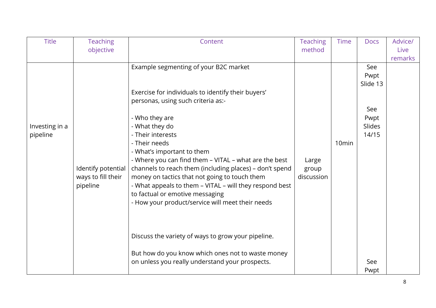| <b>Title</b>               | <b>Teaching</b><br>objective                         | Content                                                                                                                                                                                                                                                                                                                                                                                                                                                                                                                                                          | <b>Teaching</b><br>method    | <b>Time</b>       | <b>Docs</b>                                               | Advice/<br>Live |
|----------------------------|------------------------------------------------------|------------------------------------------------------------------------------------------------------------------------------------------------------------------------------------------------------------------------------------------------------------------------------------------------------------------------------------------------------------------------------------------------------------------------------------------------------------------------------------------------------------------------------------------------------------------|------------------------------|-------------------|-----------------------------------------------------------|-----------------|
|                            |                                                      |                                                                                                                                                                                                                                                                                                                                                                                                                                                                                                                                                                  |                              |                   |                                                           | remarks         |
| Investing in a<br>pipeline | Identify potential<br>ways to fill their<br>pipeline | Example segmenting of your B2C market<br>Exercise for individuals to identify their buyers'<br>personas, using such criteria as:-<br>- Who they are<br>- What they do<br>- Their interests<br>- Their needs<br>- What's important to them<br>- Where you can find them - VITAL - what are the best<br>channels to reach them (including places) - don't spend<br>money on tactics that not going to touch them<br>- What appeals to them - VITAL - will they respond best<br>to factual or emotive messaging<br>- How your product/service will meet their needs | Large<br>group<br>discussion | 10 <sub>min</sub> | See<br>Pwpt<br>Slide 13<br>See<br>Pwpt<br>Slides<br>14/15 |                 |
|                            |                                                      | Discuss the variety of ways to grow your pipeline.                                                                                                                                                                                                                                                                                                                                                                                                                                                                                                               |                              |                   |                                                           |                 |
|                            |                                                      | But how do you know which ones not to waste money<br>on unless you really understand your prospects.                                                                                                                                                                                                                                                                                                                                                                                                                                                             |                              |                   | See<br>Pwpt                                               |                 |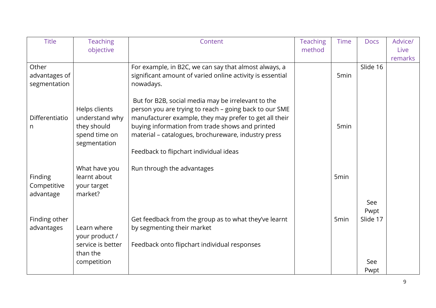| <b>Title</b>             | <b>Teaching</b>                                                                 | Content                                                                                                                                                                                                                                                                                                                    | <b>Teaching</b> | <b>Time</b>      | <b>Docs</b> | Advice/ |
|--------------------------|---------------------------------------------------------------------------------|----------------------------------------------------------------------------------------------------------------------------------------------------------------------------------------------------------------------------------------------------------------------------------------------------------------------------|-----------------|------------------|-------------|---------|
|                          | objective                                                                       |                                                                                                                                                                                                                                                                                                                            | method          |                  |             | Live    |
|                          |                                                                                 |                                                                                                                                                                                                                                                                                                                            |                 |                  |             | remarks |
| Other                    |                                                                                 | For example, in B2C, we can say that almost always, a                                                                                                                                                                                                                                                                      |                 |                  | Slide 16    |         |
| advantages of            |                                                                                 | significant amount of varied online activity is essential                                                                                                                                                                                                                                                                  |                 | 5min             |             |         |
| segmentation             |                                                                                 | nowadays.                                                                                                                                                                                                                                                                                                                  |                 |                  |             |         |
| Differentiatio<br>n      | Helps clients<br>understand why<br>they should<br>spend time on<br>segmentation | But for B2B, social media may be irrelevant to the<br>person you are trying to reach - going back to our SME<br>manufacturer example, they may prefer to get all their<br>buying information from trade shows and printed<br>material - catalogues, brochureware, industry press<br>Feedback to flipchart individual ideas |                 | 5 <sub>min</sub> |             |         |
|                          | What have you                                                                   | Run through the advantages                                                                                                                                                                                                                                                                                                 |                 |                  |             |         |
| Finding                  | learnt about                                                                    |                                                                                                                                                                                                                                                                                                                            |                 | 5 <sub>min</sub> |             |         |
| Competitive<br>advantage | your target<br>market?                                                          |                                                                                                                                                                                                                                                                                                                            |                 |                  |             |         |
|                          |                                                                                 |                                                                                                                                                                                                                                                                                                                            |                 |                  | See         |         |
|                          |                                                                                 |                                                                                                                                                                                                                                                                                                                            |                 |                  | Pwpt        |         |
| Finding other            |                                                                                 | Get feedback from the group as to what they've learnt                                                                                                                                                                                                                                                                      |                 | 5 <sub>min</sub> | Slide 17    |         |
| advantages               | Learn where                                                                     | by segmenting their market                                                                                                                                                                                                                                                                                                 |                 |                  |             |         |
|                          | your product /                                                                  |                                                                                                                                                                                                                                                                                                                            |                 |                  |             |         |
|                          | service is better<br>than the                                                   | Feedback onto flipchart individual responses                                                                                                                                                                                                                                                                               |                 |                  |             |         |
|                          | competition                                                                     |                                                                                                                                                                                                                                                                                                                            |                 |                  | See         |         |
|                          |                                                                                 |                                                                                                                                                                                                                                                                                                                            |                 |                  | Pwpt        |         |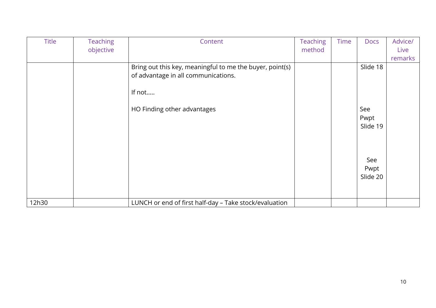| <b>Title</b> | <b>Teaching</b><br>objective | Content                                                  | <b>Teaching</b><br>method | <b>Time</b> | <b>Docs</b> | Advice/<br>Live |
|--------------|------------------------------|----------------------------------------------------------|---------------------------|-------------|-------------|-----------------|
|              |                              |                                                          |                           |             |             | remarks         |
|              |                              | Bring out this key, meaningful to me the buyer, point(s) |                           |             | Slide 18    |                 |
|              |                              | of advantage in all communications.                      |                           |             |             |                 |
|              |                              | If not                                                   |                           |             |             |                 |
|              |                              | HO Finding other advantages                              |                           |             | See         |                 |
|              |                              |                                                          |                           |             | Pwpt        |                 |
|              |                              |                                                          |                           |             | Slide 19    |                 |
|              |                              |                                                          |                           |             |             |                 |
|              |                              |                                                          |                           |             |             |                 |
|              |                              |                                                          |                           |             | See<br>Pwpt |                 |
|              |                              |                                                          |                           |             | Slide 20    |                 |
|              |                              |                                                          |                           |             |             |                 |
|              |                              |                                                          |                           |             |             |                 |
| 12h30        |                              | LUNCH or end of first half-day - Take stock/evaluation   |                           |             |             |                 |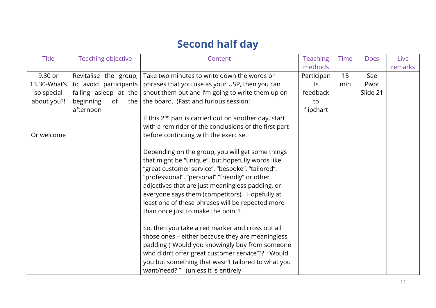## **Second half day**

| <b>Title</b> | Teaching objective    | Content                                                           | <b>Teaching</b> | <b>Time</b> | <b>Docs</b> | Live    |
|--------------|-----------------------|-------------------------------------------------------------------|-----------------|-------------|-------------|---------|
|              |                       |                                                                   | methods         |             |             | remarks |
| 9.30 or      | Revitalise the group, | Take two minutes to write down the words or                       | Participan      | 15          | See         |         |
| 13.30-What's | to avoid participants | phrases that you use as your USP, then you can                    | ts              | min         | Pwpt        |         |
| so special   | falling asleep at the | shout them out and I'm going to write them up on                  | feedback        |             | Slide 21    |         |
| about you?!  | beginning<br>of       | the   the board. (Fast and furious session!                       | to              |             |             |         |
|              | afternoon             |                                                                   | flipchart       |             |             |         |
|              |                       | If this 2 <sup>nd</sup> part is carried out on another day, start |                 |             |             |         |
|              |                       | with a reminder of the conclusions of the first part              |                 |             |             |         |
| Or welcome   |                       | before continuing with the exercise.                              |                 |             |             |         |
|              |                       |                                                                   |                 |             |             |         |
|              |                       | Depending on the group, you will get some things                  |                 |             |             |         |
|              |                       | that might be "unique", but hopefully words like                  |                 |             |             |         |
|              |                       | "great customer service", "bespoke", "tailored",                  |                 |             |             |         |
|              |                       | "professional", "personal" "friendly" or other                    |                 |             |             |         |
|              |                       | adjectives that are just meaningless padding, or                  |                 |             |             |         |
|              |                       | everyone says them (competitors). Hopefully at                    |                 |             |             |         |
|              |                       | least one of these phrases will be repeated more                  |                 |             |             |         |
|              |                       | than once just to make the point!!                                |                 |             |             |         |
|              |                       |                                                                   |                 |             |             |         |
|              |                       | So, then you take a red marker and cross out all                  |                 |             |             |         |
|              |                       | those ones - either because they are meaningless                  |                 |             |             |         |
|              |                       | padding ("Would you knowingly buy from someone                    |                 |             |             |         |
|              |                       | who didn't offer great customer service"?? "Would                 |                 |             |             |         |
|              |                       | you but something that wasn't tailored to what you                |                 |             |             |         |
|              |                       | want/need?" (unless it is entirely                                |                 |             |             |         |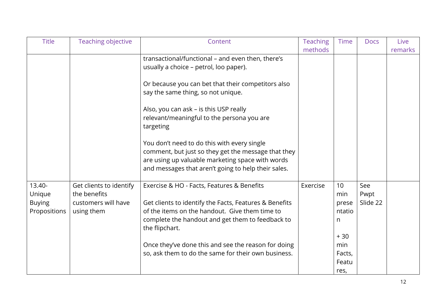| <b>Title</b>                                         | <b>Teaching objective</b>                                                    | Content                                                                                                                                                                                                                      | <b>Teaching</b><br>methods | <b>Time</b>                                             | <b>Docs</b>             | Live<br>remarks |
|------------------------------------------------------|------------------------------------------------------------------------------|------------------------------------------------------------------------------------------------------------------------------------------------------------------------------------------------------------------------------|----------------------------|---------------------------------------------------------|-------------------------|-----------------|
|                                                      |                                                                              | transactional/functional - and even then, there's<br>usually a choice - petrol, loo paper).                                                                                                                                  |                            |                                                         |                         |                 |
|                                                      |                                                                              | Or because you can bet that their competitors also<br>say the same thing, so not unique.                                                                                                                                     |                            |                                                         |                         |                 |
|                                                      |                                                                              | Also, you can ask – is this USP really<br>relevant/meaningful to the persona you are<br>targeting                                                                                                                            |                            |                                                         |                         |                 |
|                                                      |                                                                              | You don't need to do this with every single<br>comment, but just so they get the message that they<br>are using up valuable marketing space with words<br>and messages that aren't going to help their sales.                |                            |                                                         |                         |                 |
| $13.40 -$<br>Unique<br><b>Buying</b><br>Propositions | Get clients to identify<br>the benefits<br>customers will have<br>using them | Exercise & HO - Facts, Features & Benefits<br>Get clients to identify the Facts, Features & Benefits<br>of the items on the handout. Give them time to<br>complete the handout and get them to feedback to<br>the flipchart. | Exercise                   | 10 <sup>°</sup><br>min<br>prese<br>ntatio<br>n<br>$+30$ | See<br>Pwpt<br>Slide 22 |                 |
|                                                      |                                                                              | Once they've done this and see the reason for doing<br>so, ask them to do the same for their own business.                                                                                                                   |                            | min<br>Facts,<br>Featu<br>res,                          |                         |                 |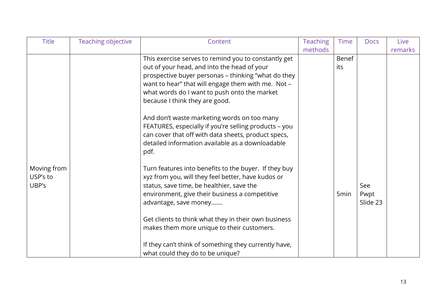| <b>Title</b>                     | <b>Teaching objective</b> | Content                                                                                                                                                                                                                                                                                                                                                                                                    | <b>Teaching</b> | <b>Time</b>         | <b>Docs</b>             | Live    |
|----------------------------------|---------------------------|------------------------------------------------------------------------------------------------------------------------------------------------------------------------------------------------------------------------------------------------------------------------------------------------------------------------------------------------------------------------------------------------------------|-----------------|---------------------|-------------------------|---------|
|                                  |                           |                                                                                                                                                                                                                                                                                                                                                                                                            | methods         |                     |                         | remarks |
|                                  |                           | This exercise serves to remind you to constantly get<br>out of your head, and into the head of your<br>prospective buyer personas - thinking "what do they<br>want to hear" that will engage them with me. Not -<br>what words do I want to push onto the market<br>because I think they are good.<br>And don't waste marketing words on too many<br>FEATURES, especially if you're selling products - you |                 | <b>Benef</b><br>its |                         |         |
|                                  |                           | can cover that off with data sheets, product specs,<br>detailed information available as a downloadable<br>pdf.                                                                                                                                                                                                                                                                                            |                 |                     |                         |         |
| Moving from<br>USP's to<br>UBP's |                           | Turn features into benefits to the buyer. If they buy<br>xyz from you, will they feel better, have kudos or<br>status, save time, be healthier, save the<br>environment, give their business a competitive<br>advantage, save money                                                                                                                                                                        |                 | 5min                | See<br>Pwpt<br>Slide 23 |         |
|                                  |                           | Get clients to think what they in their own business<br>makes them more unique to their customers.<br>If they can't think of something they currently have,<br>what could they do to be unique?                                                                                                                                                                                                            |                 |                     |                         |         |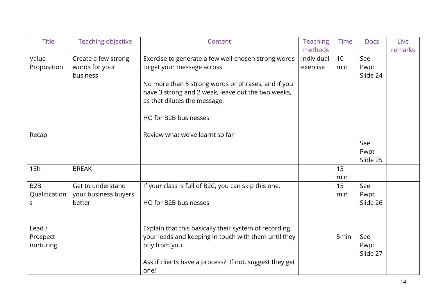| <b>Title</b>     | Teaching objective   | Content                                                 | <b>Teaching</b> | <b>Time</b>      | <b>Docs</b> | Live    |
|------------------|----------------------|---------------------------------------------------------|-----------------|------------------|-------------|---------|
|                  |                      |                                                         | methods         |                  |             | remarks |
| Value            | Create a few strong  | Exercise to generate a few well-chosen strong words     | Individual      | 10               | See         |         |
| Proposition      | words for your       | to get your message across.                             | exercise        | min              | Pwpt        |         |
|                  | business             |                                                         |                 |                  | Slide 24    |         |
|                  |                      | No more than 5 strong words or phrases, and if you      |                 |                  |             |         |
|                  |                      | have 3 strong and 2 weak, leave out the two weeks,      |                 |                  |             |         |
|                  |                      | as that dilutes the message.                            |                 |                  |             |         |
|                  |                      | HO for B2B businesses                                   |                 |                  |             |         |
| Recap            |                      | Review what we've learnt so far                         |                 |                  |             |         |
|                  |                      |                                                         |                 |                  | See         |         |
|                  |                      |                                                         |                 |                  | Pwpt        |         |
|                  |                      |                                                         |                 |                  | Slide 25    |         |
| 15h              | <b>BREAK</b>         |                                                         |                 | 15               |             |         |
|                  |                      |                                                         |                 | min              |             |         |
| B <sub>2</sub> B | Get to understand    | If your class is full of B2C, you can skip this one.    |                 | 15               | See         |         |
| Qualification    | your business buyers |                                                         |                 | min              | Pwpt        |         |
| S.               | better               | HO for B2B businesses                                   |                 |                  | Slide 26    |         |
|                  |                      |                                                         |                 |                  |             |         |
| Lead /           |                      | Explain that this basically their system of recording   |                 |                  |             |         |
| Prospect         |                      | your leads and keeping in touch with them until they    |                 | 5 <sub>min</sub> | See         |         |
| nurturing        |                      | buy from you.                                           |                 |                  | Pwpt        |         |
|                  |                      |                                                         |                 |                  | Slide 27    |         |
|                  |                      | Ask if clients have a process? If not, suggest they get |                 |                  |             |         |
|                  |                      | one!                                                    |                 |                  |             |         |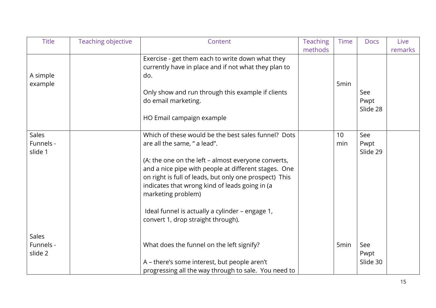| <b>Title</b> | <b>Teaching objective</b> | Content                                                | <b>Teaching</b> | <b>Time</b> | <b>Docs</b>      | Live    |
|--------------|---------------------------|--------------------------------------------------------|-----------------|-------------|------------------|---------|
|              |                           |                                                        | methods         |             |                  | remarks |
|              |                           | Exercise - get them each to write down what they       |                 |             |                  |         |
|              |                           | currently have in place and if not what they plan to   |                 |             |                  |         |
| A simple     |                           | do.                                                    |                 |             |                  |         |
| example      |                           |                                                        |                 | 5min        |                  |         |
|              |                           | Only show and run through this example if clients      |                 |             | See              |         |
|              |                           | do email marketing.                                    |                 |             | Pwpt<br>Slide 28 |         |
|              |                           | HO Email campaign example                              |                 |             |                  |         |
| <b>Sales</b> |                           | Which of these would be the best sales funnel? Dots    |                 | 10          | See              |         |
| Funnels -    |                           | are all the same, " a lead".                           |                 | min         | Pwpt             |         |
| slide 1      |                           |                                                        |                 |             | Slide 29         |         |
|              |                           | (A: the one on the left - almost everyone converts,    |                 |             |                  |         |
|              |                           | and a nice pipe with people at different stages. One   |                 |             |                  |         |
|              |                           | on right is full of leads, but only one prospect) This |                 |             |                  |         |
|              |                           | indicates that wrong kind of leads going in (a         |                 |             |                  |         |
|              |                           | marketing problem)                                     |                 |             |                  |         |
|              |                           | Ideal funnel is actually a cylinder - engage 1,        |                 |             |                  |         |
|              |                           | convert 1, drop straight through).                     |                 |             |                  |         |
|              |                           |                                                        |                 |             |                  |         |
| Sales        |                           |                                                        |                 |             |                  |         |
| Funnels -    |                           | What does the funnel on the left signify?              |                 | 5min        | See              |         |
| slide 2      |                           |                                                        |                 |             | Pwpt             |         |
|              |                           | A – there's some interest, but people aren't           |                 |             | Slide 30         |         |
|              |                           | progressing all the way through to sale. You need to   |                 |             |                  |         |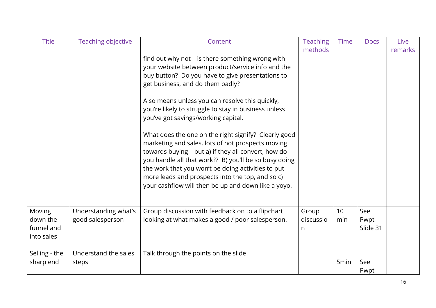| <b>Title</b>                                   | <b>Teaching objective</b>                | Content                                                                                                                                                                                                                                                                                                                                                                                                                                                                                                                                                                                                                                                                                                                                       | <b>Teaching</b><br>methods | <b>Time</b>      | <b>Docs</b>             | Live<br>remarks |
|------------------------------------------------|------------------------------------------|-----------------------------------------------------------------------------------------------------------------------------------------------------------------------------------------------------------------------------------------------------------------------------------------------------------------------------------------------------------------------------------------------------------------------------------------------------------------------------------------------------------------------------------------------------------------------------------------------------------------------------------------------------------------------------------------------------------------------------------------------|----------------------------|------------------|-------------------------|-----------------|
|                                                |                                          | find out why not - is there something wrong with<br>your website between product/service info and the<br>buy button? Do you have to give presentations to<br>get business, and do them badly?<br>Also means unless you can resolve this quickly,<br>you're likely to struggle to stay in business unless<br>you've got savings/working capital.<br>What does the one on the right signify? Clearly good<br>marketing and sales, lots of hot prospects moving<br>towards buying - but a) if they all convert, how do<br>you handle all that work?? B) you'll be so busy doing<br>the work that you won't be doing activities to put<br>more leads and prospects into the top, and so c)<br>your cashflow will then be up and down like a yoyo. |                            |                  |                         |                 |
| Moving<br>down the<br>funnel and<br>into sales | Understanding what's<br>good salesperson | Group discussion with feedback on to a flipchart<br>looking at what makes a good / poor salesperson.                                                                                                                                                                                                                                                                                                                                                                                                                                                                                                                                                                                                                                          | Group<br>discussio<br>n    | 10<br>min        | See<br>Pwpt<br>Slide 31 |                 |
| Selling - the<br>sharp end                     | Understand the sales<br>steps            | Talk through the points on the slide                                                                                                                                                                                                                                                                                                                                                                                                                                                                                                                                                                                                                                                                                                          |                            | 5 <sub>min</sub> | See<br>Pwpt             |                 |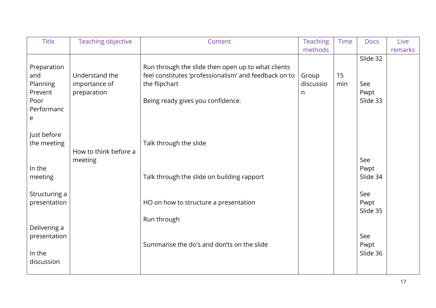| <b>Title</b>                                                                | <b>Teaching objective</b>                      | Content                                                                                                                                                           | <b>Teaching</b><br>methods | <b>Time</b> | <b>Docs</b>                         | Live<br>remarks |
|-----------------------------------------------------------------------------|------------------------------------------------|-------------------------------------------------------------------------------------------------------------------------------------------------------------------|----------------------------|-------------|-------------------------------------|-----------------|
| Preparation<br>and<br><b>Planning</b><br>Prevent<br>Poor<br>Performanc<br>e | Understand the<br>importance of<br>preparation | Run through the slide then open up to what clients<br>feel constitutes 'professionalism' and feedback on to<br>the flipchart<br>Being ready gives you confidence. | Group<br>discussio<br>n    | 15<br>min   | Slide 32<br>See<br>Pwpt<br>Slide 33 |                 |
| Just before<br>the meeting<br>In the                                        | How to think before a<br>meeting               | Talk through the slide                                                                                                                                            |                            |             | See<br>Pwpt                         |                 |
| meeting                                                                     |                                                | Talk through the slide on building rapport                                                                                                                        |                            |             | Slide 34                            |                 |
| Structuring a<br>presentation                                               |                                                | HO on how to structure a presentation<br>Run through                                                                                                              |                            |             | See<br>Pwpt<br>Slide 35             |                 |
| Delivering a<br>presentation<br>In the<br>discussion                        |                                                | Summarise the do's and don'ts on the slide                                                                                                                        |                            |             | See<br>Pwpt<br>Slide 36             |                 |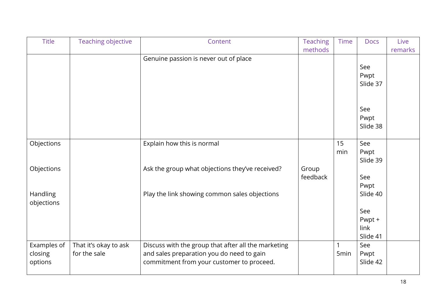| <b>Title</b>                      | Teaching objective                    | Content                                                                                                                                       | <b>Teaching</b><br>methods | <b>Time</b>                      | <b>Docs</b>                | Live<br>remarks |
|-----------------------------------|---------------------------------------|-----------------------------------------------------------------------------------------------------------------------------------------------|----------------------------|----------------------------------|----------------------------|-----------------|
|                                   |                                       | Genuine passion is never out of place                                                                                                         |                            |                                  | See<br>Pwpt<br>Slide 37    |                 |
|                                   |                                       |                                                                                                                                               |                            |                                  | See<br>Pwpt<br>Slide 38    |                 |
| Objections                        |                                       | Explain how this is normal                                                                                                                    |                            | 15<br>min                        | See<br>Pwpt<br>Slide 39    |                 |
| Objections                        |                                       | Ask the group what objections they've received?                                                                                               | Group<br>feedback          |                                  | See<br>Pwpt                |                 |
| Handling<br>objections            |                                       | Play the link showing common sales objections                                                                                                 |                            |                                  | Slide 40<br>See            |                 |
|                                   |                                       |                                                                                                                                               |                            |                                  | Pwpt +<br>link<br>Slide 41 |                 |
| Examples of<br>closing<br>options | That it's okay to ask<br>for the sale | Discuss with the group that after all the marketing<br>and sales preparation you do need to gain<br>commitment from your customer to proceed. |                            | $\mathbf{1}$<br>5 <sub>min</sub> | See<br>Pwpt<br>Slide 42    |                 |